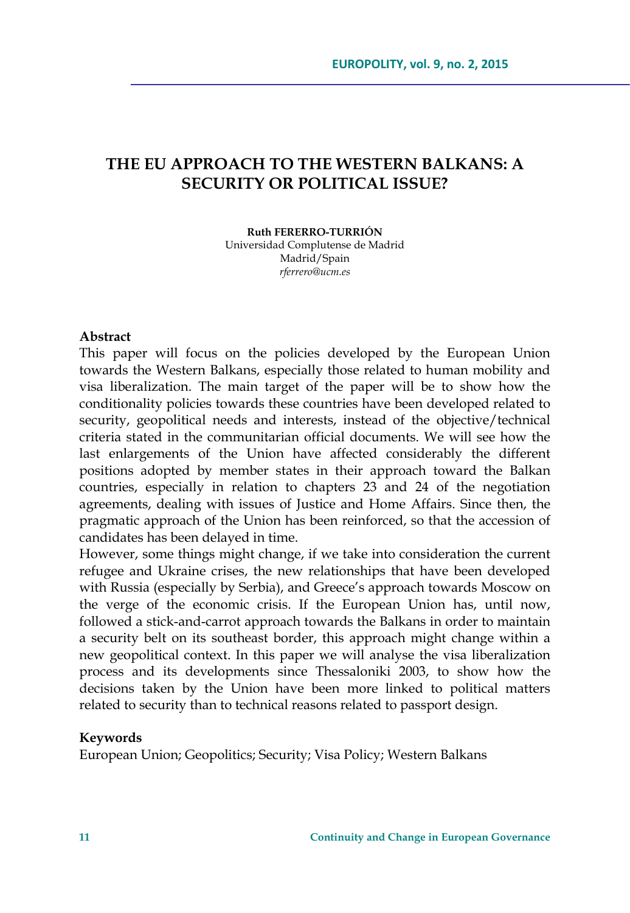# **THE EU APPROACH TO THE WESTERN BALKANS: A SECURITY OR POLITICAL ISSUE?**

#### **Ruth FERERRO-TURRIÓN**

Universidad Complutense de Madrid Madrid/Spain *rferrero@ucm.es* 

#### **Abstract**

This paper will focus on the policies developed by the European Union towards the Western Balkans, especially those related to human mobility and visa liberalization. The main target of the paper will be to show how the conditionality policies towards these countries have been developed related to security, geopolitical needs and interests, instead of the objective/technical criteria stated in the communitarian official documents. We will see how the last enlargements of the Union have affected considerably the different positions adopted by member states in their approach toward the Balkan countries, especially in relation to chapters 23 and 24 of the negotiation agreements, dealing with issues of Justice and Home Affairs. Since then, the pragmatic approach of the Union has been reinforced, so that the accession of candidates has been delayed in time.

However, some things might change, if we take into consideration the current refugee and Ukraine crises, the new relationships that have been developed with Russia (especially by Serbia), and Greece's approach towards Moscow on the verge of the economic crisis. If the European Union has, until now, followed a stick-and-carrot approach towards the Balkans in order to maintain a security belt on its southeast border, this approach might change within a new geopolitical context. In this paper we will analyse the visa liberalization process and its developments since Thessaloniki 2003, to show how the decisions taken by the Union have been more linked to political matters related to security than to technical reasons related to passport design.

#### **Keywords**

European Union; Geopolitics; Security; Visa Policy; Western Balkans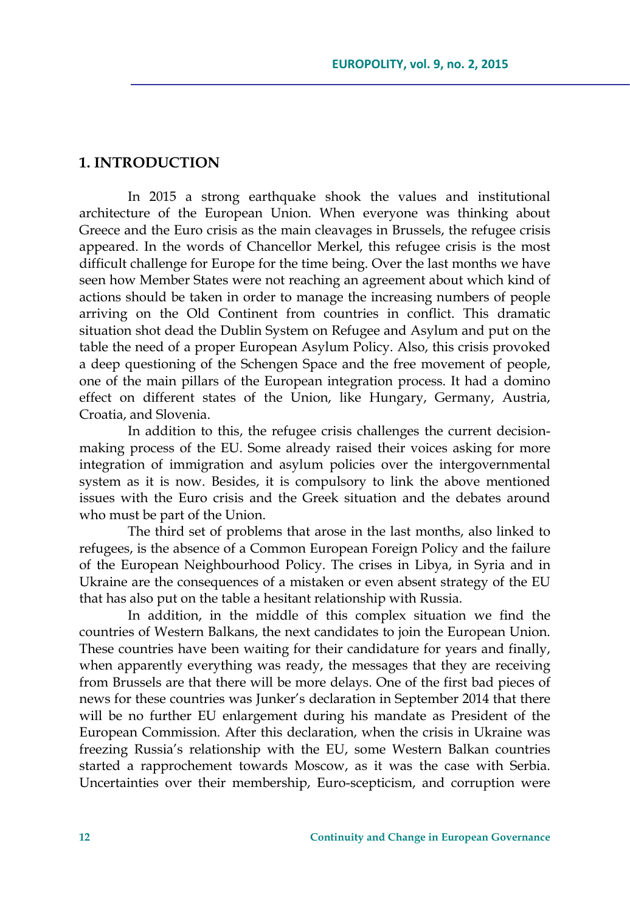## **1. INTRODUCTION**

In 2015 a strong earthquake shook the values and institutional architecture of the European Union. When everyone was thinking about Greece and the Euro crisis as the main cleavages in Brussels, the refugee crisis appeared. In the words of Chancellor Merkel, this refugee crisis is the most difficult challenge for Europe for the time being. Over the last months we have seen how Member States were not reaching an agreement about which kind of actions should be taken in order to manage the increasing numbers of people arriving on the Old Continent from countries in conflict. This dramatic situation shot dead the Dublin System on Refugee and Asylum and put on the table the need of a proper European Asylum Policy. Also, this crisis provoked a deep questioning of the Schengen Space and the free movement of people, one of the main pillars of the European integration process. It had a domino effect on different states of the Union, like Hungary, Germany, Austria, Croatia, and Slovenia.

In addition to this, the refugee crisis challenges the current decisionmaking process of the EU. Some already raised their voices asking for more integration of immigration and asylum policies over the intergovernmental system as it is now. Besides, it is compulsory to link the above mentioned issues with the Euro crisis and the Greek situation and the debates around who must be part of the Union.

The third set of problems that arose in the last months, also linked to refugees, is the absence of a Common European Foreign Policy and the failure of the European Neighbourhood Policy. The crises in Libya, in Syria and in Ukraine are the consequences of a mistaken or even absent strategy of the EU that has also put on the table a hesitant relationship with Russia.

In addition, in the middle of this complex situation we find the countries of Western Balkans, the next candidates to join the European Union. These countries have been waiting for their candidature for years and finally, when apparently everything was ready, the messages that they are receiving from Brussels are that there will be more delays. One of the first bad pieces of news for these countries was Junker's declaration in September 2014 that there will be no further EU enlargement during his mandate as President of the European Commission. After this declaration, when the crisis in Ukraine was freezing Russia's relationship with the EU, some Western Balkan countries started a rapprochement towards Moscow, as it was the case with Serbia. Uncertainties over their membership, Euro-scepticism, and corruption were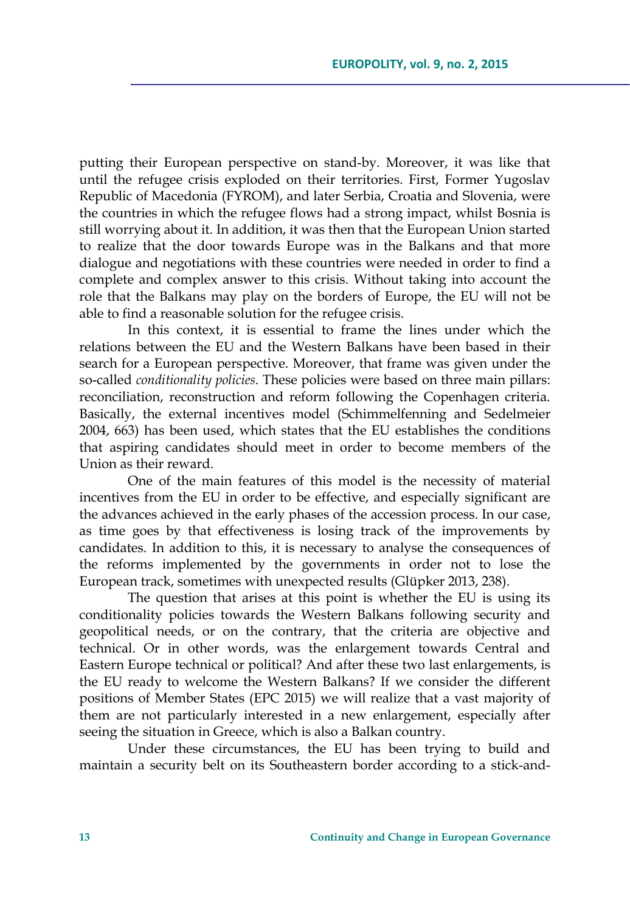putting their European perspective on stand-by. Moreover, it was like that until the refugee crisis exploded on their territories. First, Former Yugoslav Republic of Macedonia (FYROM), and later Serbia, Croatia and Slovenia, were the countries in which the refugee flows had a strong impact, whilst Bosnia is still worrying about it. In addition, it was then that the European Union started to realize that the door towards Europe was in the Balkans and that more dialogue and negotiations with these countries were needed in order to find a complete and complex answer to this crisis. Without taking into account the role that the Balkans may play on the borders of Europe, the EU will not be able to find a reasonable solution for the refugee crisis.

In this context, it is essential to frame the lines under which the relations between the EU and the Western Balkans have been based in their search for a European perspective. Moreover, that frame was given under the so-called *conditionality policies*. These policies were based on three main pillars: reconciliation, reconstruction and reform following the Copenhagen criteria. Basically, the external incentives model (Schimmelfenning and Sedelmeier 2004, 663) has been used, which states that the EU establishes the conditions that aspiring candidates should meet in order to become members of the Union as their reward.

One of the main features of this model is the necessity of material incentives from the EU in order to be effective, and especially significant are the advances achieved in the early phases of the accession process. In our case, as time goes by that effectiveness is losing track of the improvements by candidates. In addition to this, it is necessary to analyse the consequences of the reforms implemented by the governments in order not to lose the European track, sometimes with unexpected results (Glüpker 2013, 238).

The question that arises at this point is whether the EU is using its conditionality policies towards the Western Balkans following security and geopolitical needs, or on the contrary, that the criteria are objective and technical. Or in other words, was the enlargement towards Central and Eastern Europe technical or political? And after these two last enlargements, is the EU ready to welcome the Western Balkans? If we consider the different positions of Member States (EPC 2015) we will realize that a vast majority of them are not particularly interested in a new enlargement, especially after seeing the situation in Greece, which is also a Balkan country.

Under these circumstances, the EU has been trying to build and maintain a security belt on its Southeastern border according to a stick-and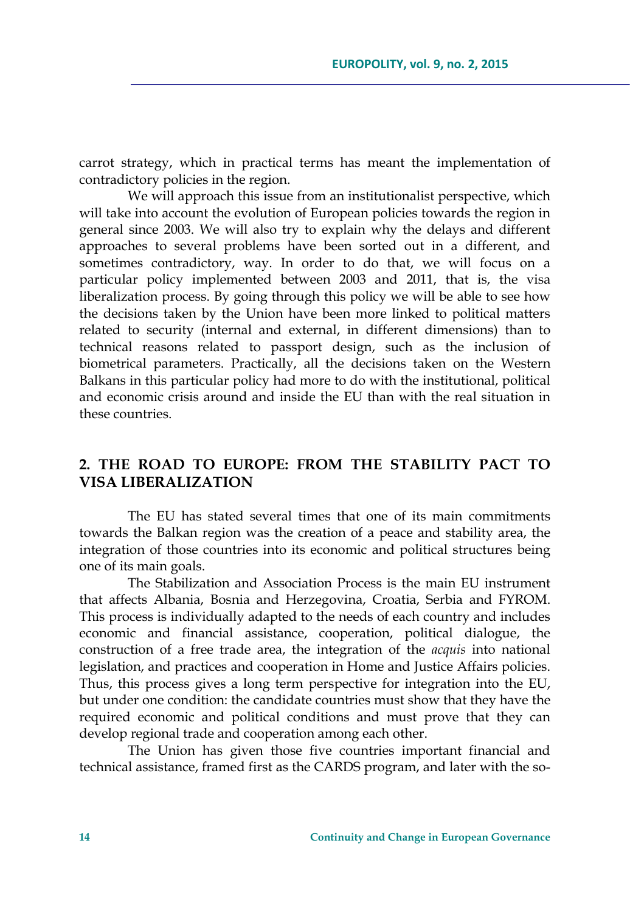carrot strategy, which in practical terms has meant the implementation of contradictory policies in the region.

We will approach this issue from an institutionalist perspective, which will take into account the evolution of European policies towards the region in general since 2003. We will also try to explain why the delays and different approaches to several problems have been sorted out in a different, and sometimes contradictory, way. In order to do that, we will focus on a particular policy implemented between 2003 and 2011, that is, the visa liberalization process. By going through this policy we will be able to see how the decisions taken by the Union have been more linked to political matters related to security (internal and external, in different dimensions) than to technical reasons related to passport design, such as the inclusion of biometrical parameters. Practically, all the decisions taken on the Western Balkans in this particular policy had more to do with the institutional, political and economic crisis around and inside the EU than with the real situation in these countries.

# **2. THE ROAD TO EUROPE: FROM THE STABILITY PACT TO VISA LIBERALIZATION**

The EU has stated several times that one of its main commitments towards the Balkan region was the creation of a peace and stability area, the integration of those countries into its economic and political structures being one of its main goals.

The Stabilization and Association Process is the main EU instrument that affects Albania, Bosnia and Herzegovina, Croatia, Serbia and FYROM. This process is individually adapted to the needs of each country and includes economic and financial assistance, cooperation, political dialogue, the construction of a free trade area, the integration of the *acquis* into national legislation, and practices and cooperation in Home and Justice Affairs policies. Thus, this process gives a long term perspective for integration into the EU, but under one condition: the candidate countries must show that they have the required economic and political conditions and must prove that they can develop regional trade and cooperation among each other.

The Union has given those five countries important financial and technical assistance, framed first as the CARDS program, and later with the so-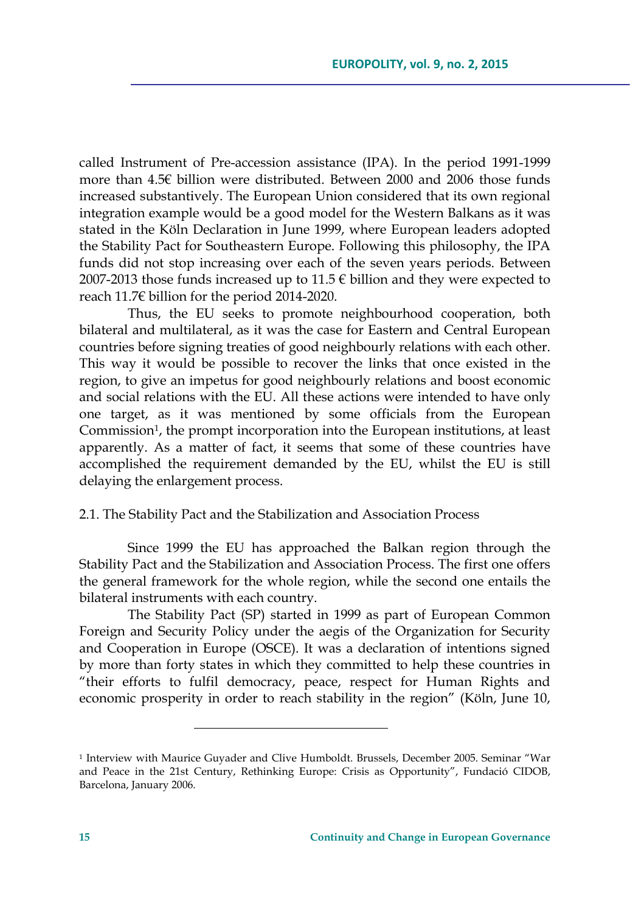called Instrument of Pre-accession assistance (IPA). In the period 1991-1999 more than 4.5€ billion were distributed. Between 2000 and 2006 those funds increased substantively. The European Union considered that its own regional integration example would be a good model for the Western Balkans as it was stated in the Köln Declaration in June 1999, where European leaders adopted the Stability Pact for Southeastern Europe. Following this philosophy, the IPA funds did not stop increasing over each of the seven years periods. Between 2007-2013 those funds increased up to  $11.5 \in$  billion and they were expected to reach 11.7€ billion for the period 2014-2020.

Thus, the EU seeks to promote neighbourhood cooperation, both bilateral and multilateral, as it was the case for Eastern and Central European countries before signing treaties of good neighbourly relations with each other. This way it would be possible to recover the links that once existed in the region, to give an impetus for good neighbourly relations and boost economic and social relations with the EU. All these actions were intended to have only one target, as it was mentioned by some officials from the European Commission<sup>1</sup>, the prompt incorporation into the European institutions, at least apparently. As a matter of fact, it seems that some of these countries have accomplished the requirement demanded by the EU, whilst the EU is still delaying the enlargement process.

### 2.1. The Stability Pact and the Stabilization and Association Process

Since 1999 the EU has approached the Balkan region through the Stability Pact and the Stabilization and Association Process. The first one offers the general framework for the whole region, while the second one entails the bilateral instruments with each country.

The Stability Pact (SP) started in 1999 as part of European Common Foreign and Security Policy under the aegis of the Organization for Security and Cooperation in Europe (OSCE). It was a declaration of intentions signed by more than forty states in which they committed to help these countries in "their efforts to fulfil democracy, peace, respect for Human Rights and economic prosperity in order to reach stability in the region" (Köln, June 10,

<sup>1</sup> Interview with Maurice Guyader and Clive Humboldt. Brussels, December 2005. Seminar "War and Peace in the 21st Century, Rethinking Europe: Crisis as Opportunity", Fundació CIDOB, Barcelona, January 2006.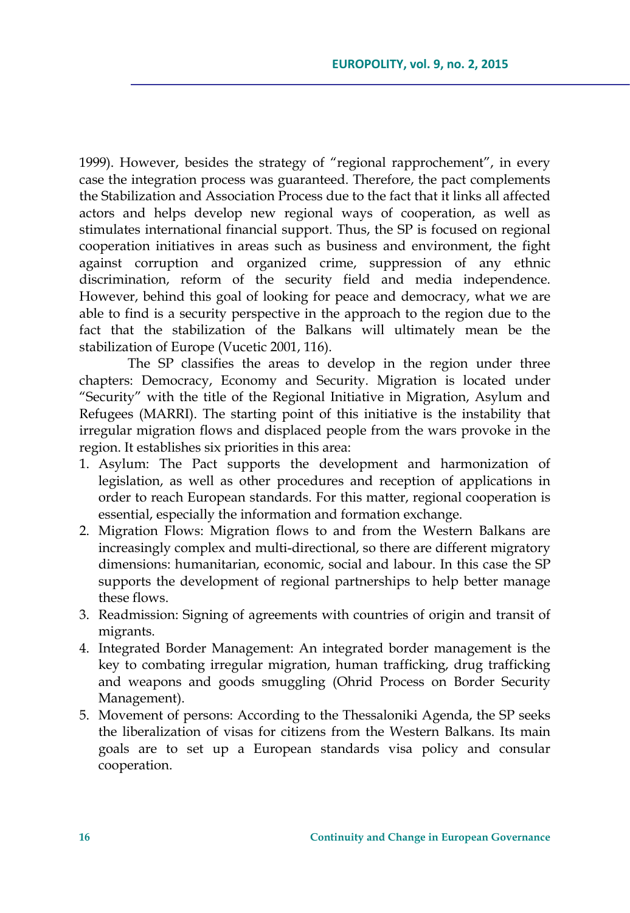1999). However, besides the strategy of "regional rapprochement", in every case the integration process was guaranteed. Therefore, the pact complements the Stabilization and Association Process due to the fact that it links all affected actors and helps develop new regional ways of cooperation, as well as stimulates international financial support. Thus, the SP is focused on regional cooperation initiatives in areas such as business and environment, the fight against corruption and organized crime, suppression of any ethnic discrimination, reform of the security field and media independence. However, behind this goal of looking for peace and democracy, what we are able to find is a security perspective in the approach to the region due to the fact that the stabilization of the Balkans will ultimately mean be the stabilization of Europe (Vucetic 2001, 116).

The SP classifies the areas to develop in the region under three chapters: Democracy, Economy and Security. Migration is located under "Security" with the title of the Regional Initiative in Migration, Asylum and Refugees (MARRI). The starting point of this initiative is the instability that irregular migration flows and displaced people from the wars provoke in the region. It establishes six priorities in this area:

- 1. Asylum: The Pact supports the development and harmonization of legislation, as well as other procedures and reception of applications in order to reach European standards. For this matter, regional cooperation is essential, especially the information and formation exchange.
- 2. Migration Flows: Migration flows to and from the Western Balkans are increasingly complex and multi-directional, so there are different migratory dimensions: humanitarian, economic, social and labour. In this case the SP supports the development of regional partnerships to help better manage these flows.
- 3. Readmission: Signing of agreements with countries of origin and transit of migrants.
- 4. Integrated Border Management: An integrated border management is the key to combating irregular migration, human trafficking, drug trafficking and weapons and goods smuggling (Ohrid Process on Border Security Management).
- 5. Movement of persons: According to the Thessaloniki Agenda, the SP seeks the liberalization of visas for citizens from the Western Balkans. Its main goals are to set up a European standards visa policy and consular cooperation.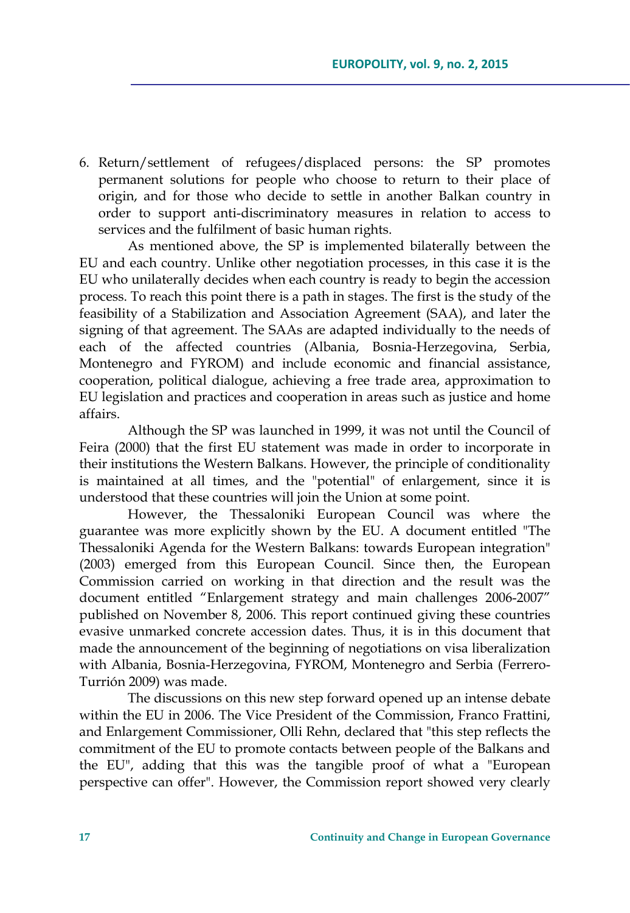6. Return/settlement of refugees/displaced persons: the SP promotes permanent solutions for people who choose to return to their place of origin, and for those who decide to settle in another Balkan country in order to support anti-discriminatory measures in relation to access to services and the fulfilment of basic human rights.

As mentioned above, the SP is implemented bilaterally between the EU and each country. Unlike other negotiation processes, in this case it is the EU who unilaterally decides when each country is ready to begin the accession process. To reach this point there is a path in stages. The first is the study of the feasibility of a Stabilization and Association Agreement (SAA), and later the signing of that agreement. The SAAs are adapted individually to the needs of each of the affected countries (Albania, Bosnia-Herzegovina, Serbia, Montenegro and FYROM) and include economic and financial assistance, cooperation, political dialogue, achieving a free trade area, approximation to EU legislation and practices and cooperation in areas such as justice and home affairs.

Although the SP was launched in 1999, it was not until the Council of Feira (2000) that the first EU statement was made in order to incorporate in their institutions the Western Balkans. However, the principle of conditionality is maintained at all times, and the "potential" of enlargement, since it is understood that these countries will join the Union at some point.

However, the Thessaloniki European Council was where the guarantee was more explicitly shown by the EU. A document entitled "The Thessaloniki Agenda for the Western Balkans: towards European integration" (2003) emerged from this European Council. Since then, the European Commission carried on working in that direction and the result was the document entitled "Enlargement strategy and main challenges 2006-2007" published on November 8, 2006. This report continued giving these countries evasive unmarked concrete accession dates. Thus, it is in this document that made the announcement of the beginning of negotiations on visa liberalization with Albania, Bosnia-Herzegovina, FYROM, Montenegro and Serbia (Ferrero-Turrión 2009) was made.

The discussions on this new step forward opened up an intense debate within the EU in 2006. The Vice President of the Commission, Franco Frattini, and Enlargement Commissioner, Olli Rehn, declared that "this step reflects the commitment of the EU to promote contacts between people of the Balkans and the EU", adding that this was the tangible proof of what a "European perspective can offer". However, the Commission report showed very clearly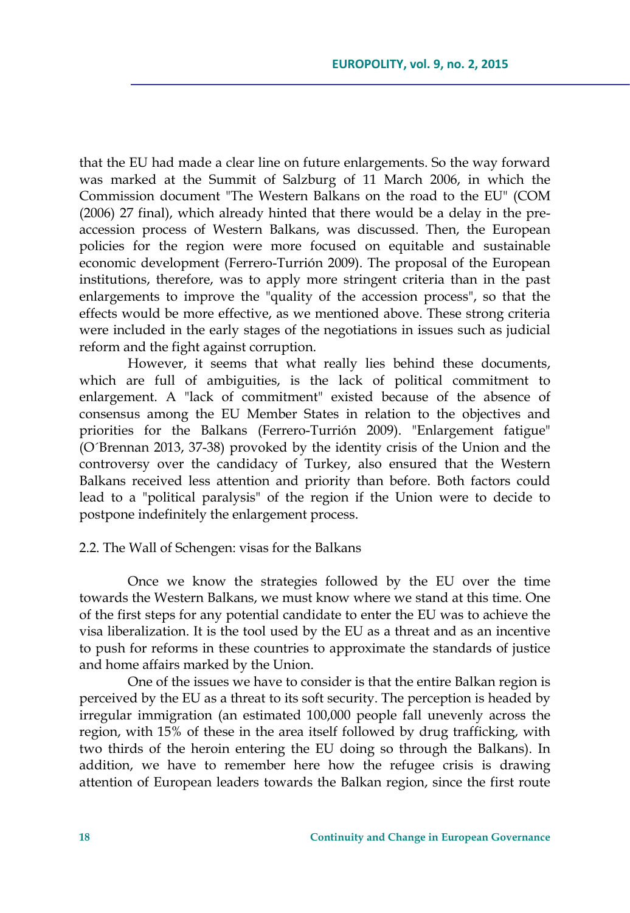that the EU had made a clear line on future enlargements. So the way forward was marked at the Summit of Salzburg of 11 March 2006, in which the Commission document "The Western Balkans on the road to the EU" (COM (2006) 27 final), which already hinted that there would be a delay in the preaccession process of Western Balkans, was discussed. Then, the European policies for the region were more focused on equitable and sustainable economic development (Ferrero-Turrión 2009). The proposal of the European institutions, therefore, was to apply more stringent criteria than in the past enlargements to improve the "quality of the accession process", so that the effects would be more effective, as we mentioned above. These strong criteria were included in the early stages of the negotiations in issues such as judicial reform and the fight against corruption.

However, it seems that what really lies behind these documents, which are full of ambiguities, is the lack of political commitment to enlargement. A "lack of commitment" existed because of the absence of consensus among the EU Member States in relation to the objectives and priorities for the Balkans (Ferrero-Turrión 2009). "Enlargement fatigue" (O´Brennan 2013, 37-38) provoked by the identity crisis of the Union and the controversy over the candidacy of Turkey, also ensured that the Western Balkans received less attention and priority than before. Both factors could lead to a "political paralysis" of the region if the Union were to decide to postpone indefinitely the enlargement process.

#### 2.2. The Wall of Schengen: visas for the Balkans

Once we know the strategies followed by the EU over the time towards the Western Balkans, we must know where we stand at this time. One of the first steps for any potential candidate to enter the EU was to achieve the visa liberalization. It is the tool used by the EU as a threat and as an incentive to push for reforms in these countries to approximate the standards of justice and home affairs marked by the Union.

One of the issues we have to consider is that the entire Balkan region is perceived by the EU as a threat to its soft security. The perception is headed by irregular immigration (an estimated 100,000 people fall unevenly across the region, with 15% of these in the area itself followed by drug trafficking, with two thirds of the heroin entering the EU doing so through the Balkans). In addition, we have to remember here how the refugee crisis is drawing attention of European leaders towards the Balkan region, since the first route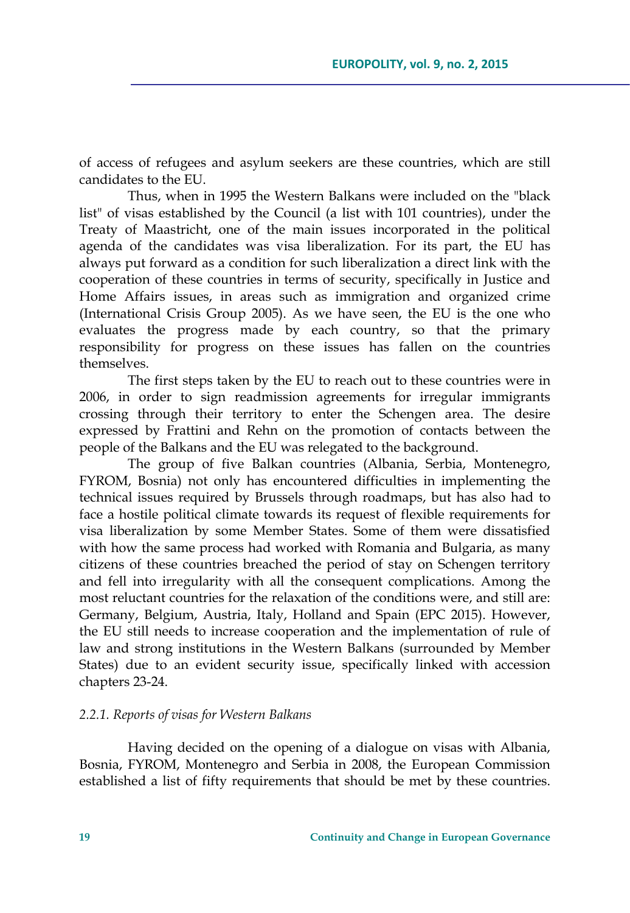of access of refugees and asylum seekers are these countries, which are still candidates to the EU.

Thus, when in 1995 the Western Balkans were included on the "black list" of visas established by the Council (a list with 101 countries), under the Treaty of Maastricht, one of the main issues incorporated in the political agenda of the candidates was visa liberalization. For its part, the EU has always put forward as a condition for such liberalization a direct link with the cooperation of these countries in terms of security, specifically in Justice and Home Affairs issues, in areas such as immigration and organized crime (International Crisis Group 2005). As we have seen, the EU is the one who evaluates the progress made by each country, so that the primary responsibility for progress on these issues has fallen on the countries themselves.

The first steps taken by the EU to reach out to these countries were in 2006, in order to sign readmission agreements for irregular immigrants crossing through their territory to enter the Schengen area. The desire expressed by Frattini and Rehn on the promotion of contacts between the people of the Balkans and the EU was relegated to the background.

The group of five Balkan countries (Albania, Serbia, Montenegro, FYROM, Bosnia) not only has encountered difficulties in implementing the technical issues required by Brussels through roadmaps, but has also had to face a hostile political climate towards its request of flexible requirements for visa liberalization by some Member States. Some of them were dissatisfied with how the same process had worked with Romania and Bulgaria, as many citizens of these countries breached the period of stay on Schengen territory and fell into irregularity with all the consequent complications. Among the most reluctant countries for the relaxation of the conditions were, and still are: Germany, Belgium, Austria, Italy, Holland and Spain (EPC 2015). However, the EU still needs to increase cooperation and the implementation of rule of law and strong institutions in the Western Balkans (surrounded by Member States) due to an evident security issue, specifically linked with accession chapters 23-24.

### *2.2.1. Reports of visas for Western Balkans*

Having decided on the opening of a dialogue on visas with Albania, Bosnia, FYROM, Montenegro and Serbia in 2008, the European Commission established a list of fifty requirements that should be met by these countries.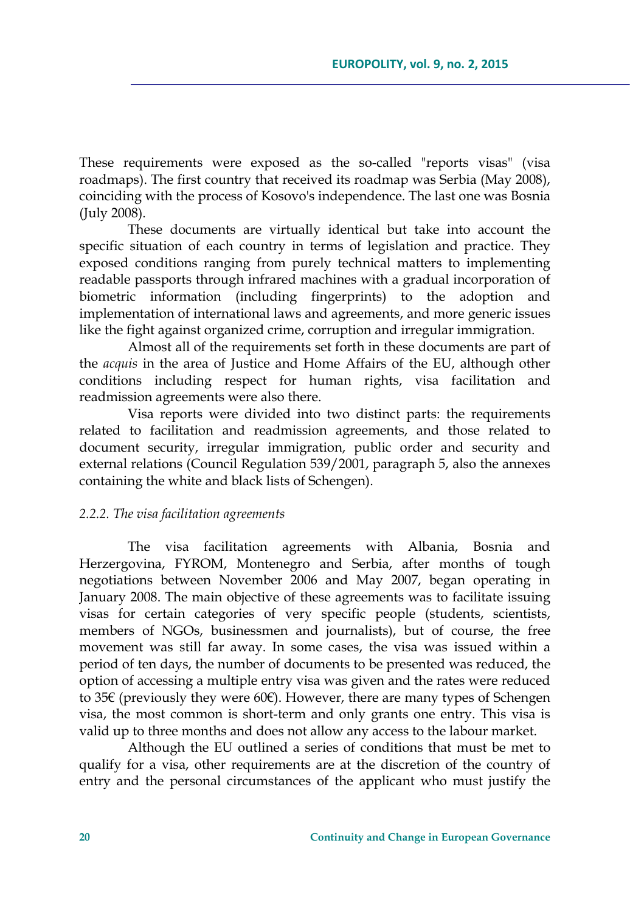These requirements were exposed as the so-called "reports visas" (visa roadmaps). The first country that received its roadmap was Serbia (May 2008), coinciding with the process of Kosovo's independence. The last one was Bosnia (July 2008).

These documents are virtually identical but take into account the specific situation of each country in terms of legislation and practice. They exposed conditions ranging from purely technical matters to implementing readable passports through infrared machines with a gradual incorporation of biometric information (including fingerprints) to the adoption and implementation of international laws and agreements, and more generic issues like the fight against organized crime, corruption and irregular immigration.

Almost all of the requirements set forth in these documents are part of the *acquis* in the area of Justice and Home Affairs of the EU, although other conditions including respect for human rights, visa facilitation and readmission agreements were also there.

Visa reports were divided into two distinct parts: the requirements related to facilitation and readmission agreements, and those related to document security, irregular immigration, public order and security and external relations (Council Regulation 539/2001, paragraph 5, also the annexes containing the white and black lists of Schengen).

### *2.2.2. The visa facilitation agreements*

The visa facilitation agreements with Albania, Bosnia and Herzergovina, FYROM, Montenegro and Serbia, after months of tough negotiations between November 2006 and May 2007, began operating in January 2008. The main objective of these agreements was to facilitate issuing visas for certain categories of very specific people (students, scientists, members of NGOs, businessmen and journalists), but of course, the free movement was still far away. In some cases, the visa was issued within a period of ten days, the number of documents to be presented was reduced, the option of accessing a multiple entry visa was given and the rates were reduced to 35€ (previously they were 60€). However, there are many types of Schengen visa, the most common is short-term and only grants one entry. This visa is valid up to three months and does not allow any access to the labour market.

Although the EU outlined a series of conditions that must be met to qualify for a visa, other requirements are at the discretion of the country of entry and the personal circumstances of the applicant who must justify the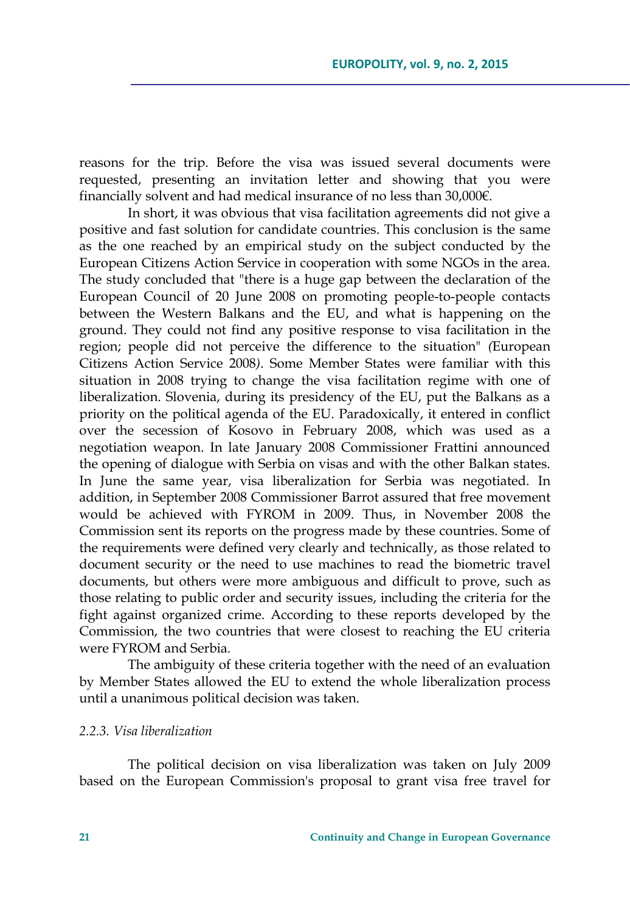reasons for the trip. Before the visa was issued several documents were requested, presenting an invitation letter and showing that you were financially solvent and had medical insurance of no less than 30,000€.

In short, it was obvious that visa facilitation agreements did not give a positive and fast solution for candidate countries. This conclusion is the same as the one reached by an empirical study on the subject conducted by the European Citizens Action Service in cooperation with some NGOs in the area. The study concluded that "there is a huge gap between the declaration of the European Council of 20 June 2008 on promoting people-to-people contacts between the Western Balkans and the EU, and what is happening on the ground. They could not find any positive response to visa facilitation in the region; people did not perceive the difference to the situation" *(*European Citizens Action Service 2008*)*. Some Member States were familiar with this situation in 2008 trying to change the visa facilitation regime with one of liberalization. Slovenia, during its presidency of the EU, put the Balkans as a priority on the political agenda of the EU. Paradoxically, it entered in conflict over the secession of Kosovo in February 2008, which was used as a negotiation weapon. In late January 2008 Commissioner Frattini announced the opening of dialogue with Serbia on visas and with the other Balkan states. In June the same year, visa liberalization for Serbia was negotiated. In addition, in September 2008 Commissioner Barrot assured that free movement would be achieved with FYROM in 2009. Thus, in November 2008 the Commission sent its reports on the progress made by these countries. Some of the requirements were defined very clearly and technically, as those related to document security or the need to use machines to read the biometric travel documents, but others were more ambiguous and difficult to prove, such as those relating to public order and security issues, including the criteria for the fight against organized crime. According to these reports developed by the Commission, the two countries that were closest to reaching the EU criteria were FYROM and Serbia.

The ambiguity of these criteria together with the need of an evaluation by Member States allowed the EU to extend the whole liberalization process until a unanimous political decision was taken.

#### *2.2.3. Visa liberalization*

The political decision on visa liberalization was taken on July 2009 based on the European Commission's proposal to grant visa free travel for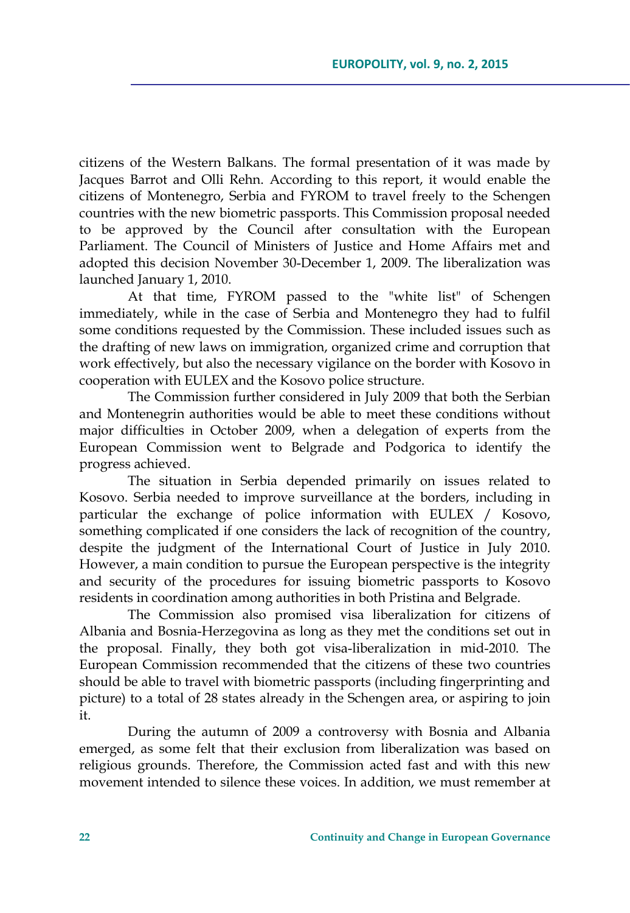citizens of the Western Balkans. The formal presentation of it was made by Jacques Barrot and Olli Rehn. According to this report, it would enable the citizens of Montenegro, Serbia and FYROM to travel freely to the Schengen countries with the new biometric passports. This Commission proposal needed to be approved by the Council after consultation with the European Parliament. The Council of Ministers of Justice and Home Affairs met and adopted this decision November 30-December 1, 2009. The liberalization was launched January 1, 2010.

At that time, FYROM passed to the "white list" of Schengen immediately, while in the case of Serbia and Montenegro they had to fulfil some conditions requested by the Commission. These included issues such as the drafting of new laws on immigration, organized crime and corruption that work effectively, but also the necessary vigilance on the border with Kosovo in cooperation with EULEX and the Kosovo police structure.

The Commission further considered in July 2009 that both the Serbian and Montenegrin authorities would be able to meet these conditions without major difficulties in October 2009, when a delegation of experts from the European Commission went to Belgrade and Podgorica to identify the progress achieved.

The situation in Serbia depended primarily on issues related to Kosovo. Serbia needed to improve surveillance at the borders, including in particular the exchange of police information with EULEX / Kosovo, something complicated if one considers the lack of recognition of the country, despite the judgment of the International Court of Justice in July 2010. However, a main condition to pursue the European perspective is the integrity and security of the procedures for issuing biometric passports to Kosovo residents in coordination among authorities in both Pristina and Belgrade.

The Commission also promised visa liberalization for citizens of Albania and Bosnia-Herzegovina as long as they met the conditions set out in the proposal. Finally, they both got visa-liberalization in mid-2010. The European Commission recommended that the citizens of these two countries should be able to travel with biometric passports (including fingerprinting and picture) to a total of 28 states already in the Schengen area, or aspiring to join it.

During the autumn of 2009 a controversy with Bosnia and Albania emerged, as some felt that their exclusion from liberalization was based on religious grounds. Therefore, the Commission acted fast and with this new movement intended to silence these voices. In addition, we must remember at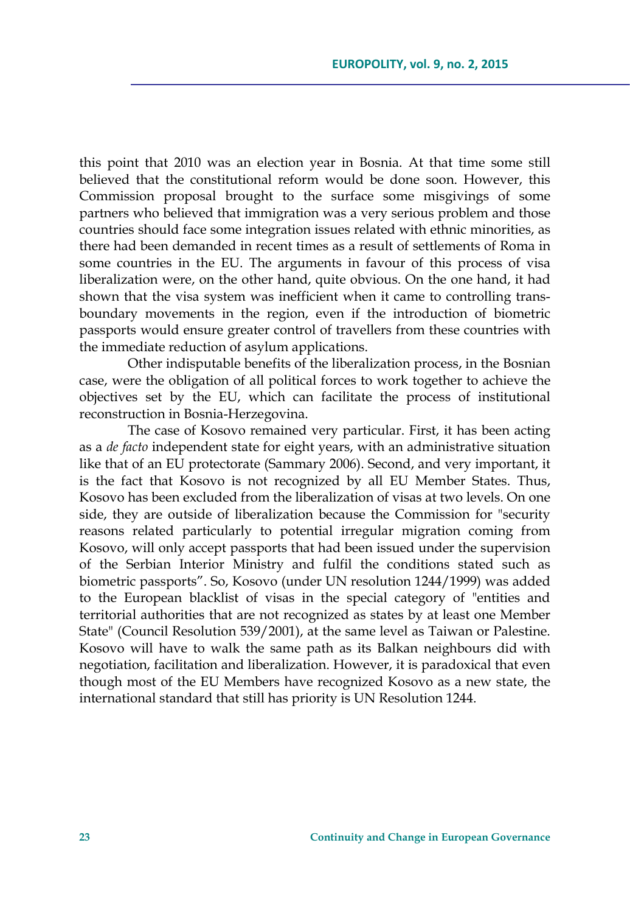this point that 2010 was an election year in Bosnia. At that time some still believed that the constitutional reform would be done soon. However, this Commission proposal brought to the surface some misgivings of some partners who believed that immigration was a very serious problem and those countries should face some integration issues related with ethnic minorities, as there had been demanded in recent times as a result of settlements of Roma in some countries in the EU. The arguments in favour of this process of visa liberalization were, on the other hand, quite obvious. On the one hand, it had shown that the visa system was inefficient when it came to controlling transboundary movements in the region, even if the introduction of biometric passports would ensure greater control of travellers from these countries with the immediate reduction of asylum applications.

Other indisputable benefits of the liberalization process, in the Bosnian case, were the obligation of all political forces to work together to achieve the objectives set by the EU, which can facilitate the process of institutional reconstruction in Bosnia-Herzegovina.

The case of Kosovo remained very particular. First, it has been acting as a *de facto* independent state for eight years, with an administrative situation like that of an EU protectorate (Sammary 2006). Second, and very important, it is the fact that Kosovo is not recognized by all EU Member States. Thus, Kosovo has been excluded from the liberalization of visas at two levels. On one side, they are outside of liberalization because the Commission for "security reasons related particularly to potential irregular migration coming from Kosovo, will only accept passports that had been issued under the supervision of the Serbian Interior Ministry and fulfil the conditions stated such as biometric passports". So, Kosovo (under UN resolution 1244/1999) was added to the European blacklist of visas in the special category of "entities and territorial authorities that are not recognized as states by at least one Member State" (Council Resolution 539/2001), at the same level as Taiwan or Palestine. Kosovo will have to walk the same path as its Balkan neighbours did with negotiation, facilitation and liberalization. However, it is paradoxical that even though most of the EU Members have recognized Kosovo as a new state, the international standard that still has priority is UN Resolution 1244.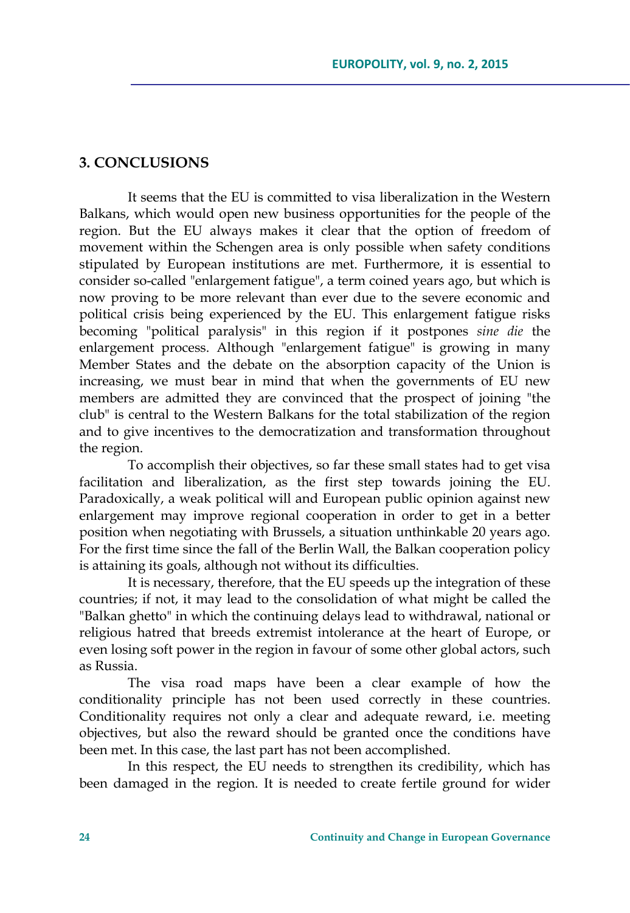## **3. CONCLUSIONS**

It seems that the EU is committed to visa liberalization in the Western Balkans, which would open new business opportunities for the people of the region. But the EU always makes it clear that the option of freedom of movement within the Schengen area is only possible when safety conditions stipulated by European institutions are met. Furthermore, it is essential to consider so-called "enlargement fatigue", a term coined years ago, but which is now proving to be more relevant than ever due to the severe economic and political crisis being experienced by the EU. This enlargement fatigue risks becoming "political paralysis" in this region if it postpones *sine die* the enlargement process. Although "enlargement fatigue" is growing in many Member States and the debate on the absorption capacity of the Union is increasing, we must bear in mind that when the governments of EU new members are admitted they are convinced that the prospect of joining "the club" is central to the Western Balkans for the total stabilization of the region and to give incentives to the democratization and transformation throughout the region.

To accomplish their objectives, so far these small states had to get visa facilitation and liberalization, as the first step towards joining the EU. Paradoxically, a weak political will and European public opinion against new enlargement may improve regional cooperation in order to get in a better position when negotiating with Brussels, a situation unthinkable 20 years ago. For the first time since the fall of the Berlin Wall, the Balkan cooperation policy is attaining its goals, although not without its difficulties.

It is necessary, therefore, that the EU speeds up the integration of these countries; if not, it may lead to the consolidation of what might be called the "Balkan ghetto" in which the continuing delays lead to withdrawal, national or religious hatred that breeds extremist intolerance at the heart of Europe, or even losing soft power in the region in favour of some other global actors, such as Russia.

The visa road maps have been a clear example of how the conditionality principle has not been used correctly in these countries. Conditionality requires not only a clear and adequate reward, i.e. meeting objectives, but also the reward should be granted once the conditions have been met. In this case, the last part has not been accomplished.

In this respect, the EU needs to strengthen its credibility, which has been damaged in the region. It is needed to create fertile ground for wider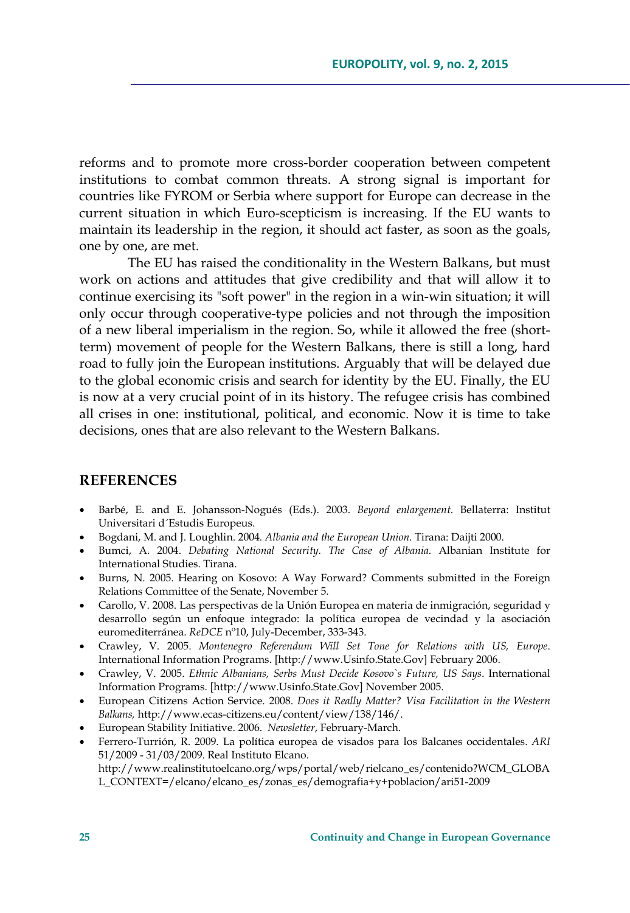reforms and to promote more cross-border cooperation between competent institutions to combat common threats. A strong signal is important for countries like FYROM or Serbia where support for Europe can decrease in the current situation in which Euro-scepticism is increasing. If the EU wants to maintain its leadership in the region, it should act faster, as soon as the goals, one by one, are met.

The EU has raised the conditionality in the Western Balkans, but must work on actions and attitudes that give credibility and that will allow it to continue exercising its "soft power" in the region in a win-win situation; it will only occur through cooperative-type policies and not through the imposition of a new liberal imperialism in the region. So, while it allowed the free (shortterm) movement of people for the Western Balkans, there is still a long, hard road to fully join the European institutions. Arguably that will be delayed due to the global economic crisis and search for identity by the EU. Finally, the EU is now at a very crucial point of in its history. The refugee crisis has combined all crises in one: institutional, political, and economic. Now it is time to take decisions, ones that are also relevant to the Western Balkans.

### **REFERENCES**

- Barbé, E. and E. Johansson-Nogués (Eds.). 2003. *Beyond enlargement*. Bellaterra: Institut Universitari d´Estudis Europeus.
- Bogdani, M. and J. Loughlin. 2004. *Albania and the European Union*. Tirana: Daijti 2000.
- Bumci, A. 2004. *Debating National Security. The Case of Albania*. Albanian Institute for International Studies. Tirana.
- Burns, N. 2005. Hearing on Kosovo: A Way Forward? Comments submitted in the Foreign Relations Committee of the Senate, November 5.
- Carollo, V. 2008. Las perspectivas de la Unión Europea en materia de inmigración, seguridad y desarrollo según un enfoque integrado: la política europea de vecindad y la asociación euromediterránea. *ReDCE* nº10, July-December, 333-343.
- Crawley, V. 2005. *Montenegro Referendum Will Set Tone for Relations with US, Europe*. International Information Programs. [http://www.Usinfo.State.Gov] February 2006.
- Crawley, V. 2005. *Ethnic Albanians, Serbs Must Decide Kosovo`s Future, US Says*. International Information Programs. [http://www.Usinfo.State.Gov] November 2005.
- European Citizens Action Service. 2008. *Does it Really Matter? Visa Facilitation in the Western Balkans,* http://www.ecas-citizens.eu/content/view/138/146/.
- European Stability Initiative. 2006. *Newsletter*, February-March.
- Ferrero-Turrión, R. 2009. La política europea de visados para los Balcanes occidentales. *ARI* 51/2009 - 31/03/2009. Real Instituto Elcano. http://www.realinstitutoelcano.org/wps/portal/web/rielcano\_es/contenido?WCM\_GLOBA L\_CONTEXT=/elcano/elcano\_es/zonas\_es/demografia+y+poblacion/ari51-2009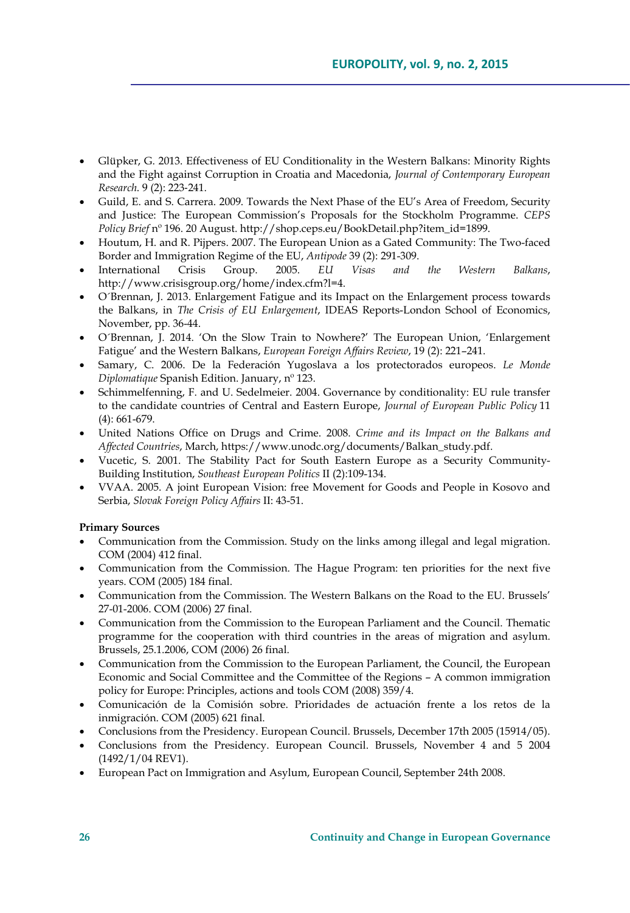- Glüpker, G. 2013. Effectiveness of EU Conditionality in the Western Balkans: Minority Rights and the Fight against Corruption in Croatia and Macedonia, *Journal of Contemporary European Research*. 9 (2): 223‐241.
- Guild, E. and S. Carrera. 2009. Towards the Next Phase of the EU's Area of Freedom, Security and Justice: The European Commission's Proposals for the Stockholm Programme. *CEPS Policy Brief* nº 196. 20 August. http://shop.ceps.eu/BookDetail.php?item\_id=1899.
- Houtum, H. and R. Pijpers. 2007. The European Union as a Gated Community: The Two-faced Border and Immigration Regime of the EU, *Antipode* 39 (2): 291-309.
- International Crisis Group. 2005. *EU Visas and the Western Balkans*, http://www.crisisgroup.org/home/index.cfm?l=4.
- O´Brennan, J. 2013. Enlargement Fatigue and its Impact on the Enlargement process towards the Balkans, in *The Crisis of EU Enlargement*, IDEAS Reports-London School of Economics, November, pp. 36-44.
- O´Brennan, J. 2014. 'On the Slow Train to Nowhere?' The European Union, 'Enlargement Fatigue' and the Western Balkans, *European Foreign Affairs Review*, 19 (2): 221–241.
- Samary, C. 2006. De la Federación Yugoslava a los protectorados europeos. *Le Monde Diplomatique* Spanish Edition. January, nº 123.
- Schimmelfenning, F. and U. Sedelmeier. 2004. Governance by conditionality: EU rule transfer to the candidate countries of Central and Eastern Europe, *Journal of European Public Policy* 11 (4): 661-679.
- United Nations Office on Drugs and Crime. 2008. *Crime and its Impact on the Balkans and Affected Countries*, March, https://www.unodc.org/documents/Balkan\_study.pdf.
- Vucetic, S. 2001. The Stability Pact for South Eastern Europe as a Security Community-Building Institution, *Southeast European Politics* II (2):109-134.
- VVAA. 2005. A joint European Vision: free Movement for Goods and People in Kosovo and Serbia, *Slovak Foreign Policy Affairs* II: 43-51.

#### **Primary Sources**

- Communication from the Commission. Study on the links among illegal and legal migration. COM (2004) 412 final.
- Communication from the Commission. The Hague Program: ten priorities for the next five years. COM (2005) 184 final.
- Communication from the Commission. The Western Balkans on the Road to the EU. Brussels' 27-01-2006. COM (2006) 27 final.
- Communication from the Commission to the European Parliament and the Council. Thematic programme for the cooperation with third countries in the areas of migration and asylum. Brussels, 25.1.2006, COM (2006) 26 final.
- Communication from the Commission to the European Parliament, the Council, the European Economic and Social Committee and the Committee of the Regions – A common immigration policy for Europe: Principles, actions and tools COM (2008) 359/4.
- Comunicación de la Comisión sobre. Prioridades de actuación frente a los retos de la inmigración. COM (2005) 621 final.
- Conclusions from the Presidency. European Council. Brussels, December 17th 2005 (15914/05).
- Conclusions from the Presidency. European Council. Brussels, November 4 and 5 2004 (1492/1/04 REV1).
- European Pact on Immigration and Asylum, European Council, September 24th 2008.